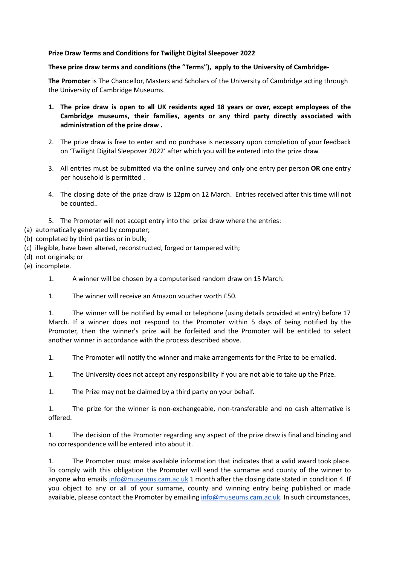## **Prize Draw Terms and Conditions for Twilight Digital Sleepover 2022**

## **These prize draw terms and conditions (the "Terms"), apply to the University of Cambridge-**

**The Promoter** is The Chancellor, Masters and Scholars of the University of Cambridge acting through the University of Cambridge Museums.

- 1. The prize draw is open to all UK residents aged 18 years or over, except employees of the **Cambridge museums, their families, agents or any third party directly associated with administration of the prize draw .**
- 2. The prize draw is free to enter and no purchase is necessary upon completion of your feedback on 'Twilight Digital Sleepover 2022' after which you will be entered into the prize draw.
- 3. All entries must be submitted via the online survey and only one entry per person **OR** one entry per household is permitted .
- 4. The closing date of the prize draw is 12pm on 12 March. Entries received after this time will not be counted..
- 5. The Promoter will not accept entry into the prize draw where the entries:
- (a) automatically generated by computer;
- (b) completed by third parties or in bulk;
- (c) illegible, have been altered, reconstructed, forged or tampered with;
- (d) not originals; or
- (e) incomplete.
	- 1. A winner will be chosen by a computerised random draw on 15 March.
	- 1. The winner will receive an Amazon voucher worth £50.

1. The winner will be notified by email or telephone (using details provided at entry) before 17 March. If a winner does not respond to the Promoter within 5 days of being notified by the Promoter, then the winner's prize will be forfeited and the Promoter will be entitled to select another winner in accordance with the process described above.

1. The Promoter will notify the winner and make arrangements for the Prize to be emailed.

1. The University does not accept any responsibility if you are not able to take up the Prize.

1. The Prize may not be claimed by a third party on your behalf.

1. The prize for the winner is non-exchangeable, non-transferable and no cash alternative is offered.

1. The decision of the Promoter regarding any aspect of the prize draw is final and binding and no correspondence will be entered into about it.

1. The Promoter must make available information that indicates that a valid award took place. To comply with this obligation the Promoter will send the surname and county of the winner to anyone who emails [info@museums.cam.ac.uk](mailto:info@museums.cam.ac.uk) 1 month after the closing date stated in condition 4. If you object to any or all of your surname, county and winning entry being published or made available, please contact the Promoter by emailing [info@museums.cam.ac.uk](mailto:info@museums.cam.ac.uk). In such circumstances,